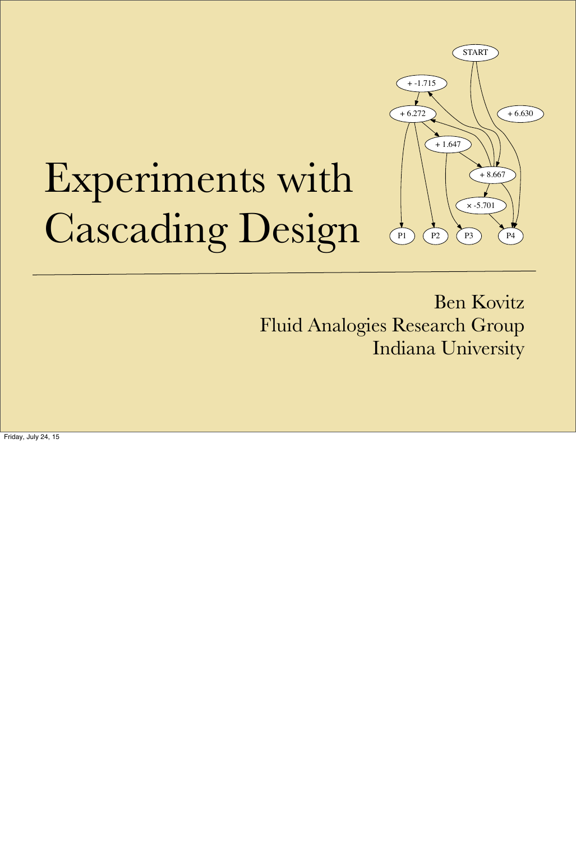# Experiments with Cascading Design

Ben Kovitz Fluid Analogies Research Group Indiana University



Friday, July 24, 15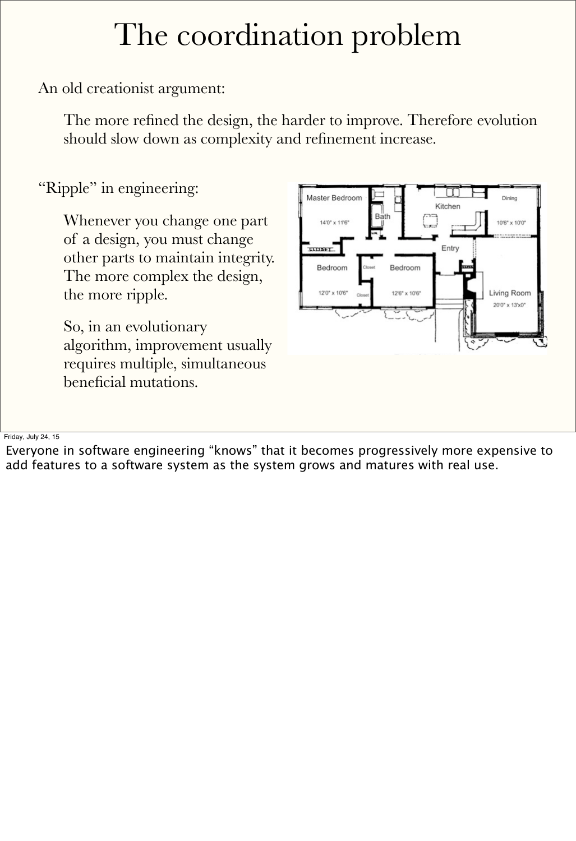An old creationist argument:

The more refined the design, the harder to improve. Therefore evolution should slow down as complexity and refinement increase.

"Ripple" in engineering:

Whenever you change one part of a design, you must change other parts to maintain integrity. The more complex the design, the more ripple.

So, in an evolutionary algorithm, improvement usually requires multiple, simultaneous beneficial mutations.



Friday, July 24, 15

Everyone in software engineering "knows" that it becomes progressively more expensive to add features to a software system as the system grows and matures with real use.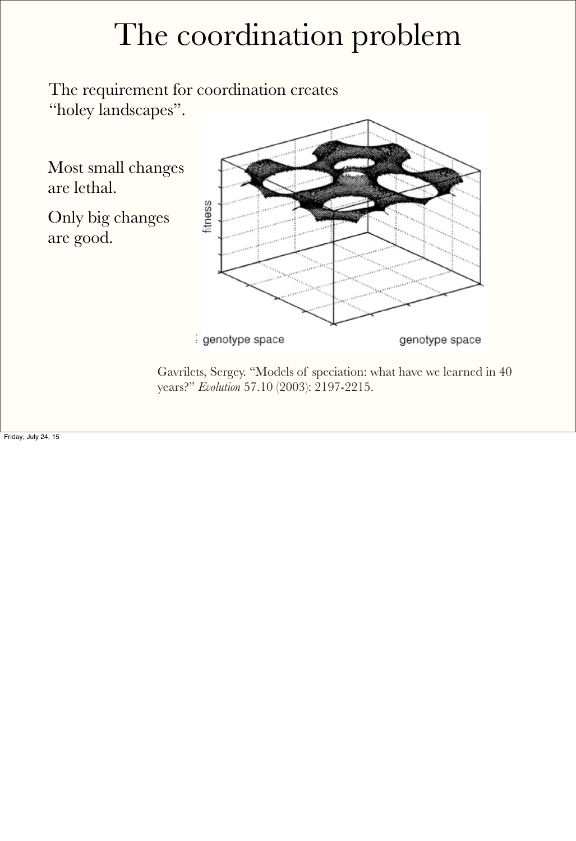The requirement for coordination creates "holey landscapes".

Most small changes are lethal.

> Gavrilets, Sergey. "Models of speciation: what have we learned in 40 years?" *Evolution* 57.10 (2003): 2197-2215.

Only big changes are good.

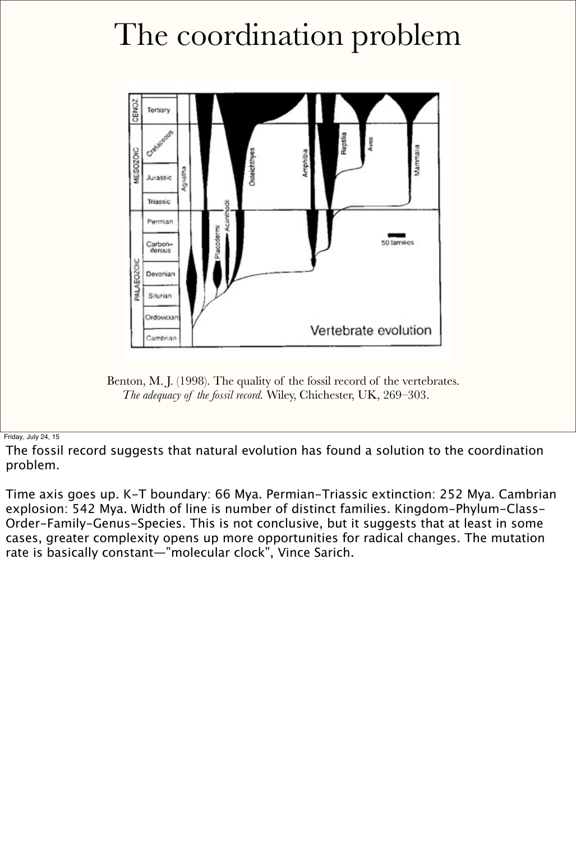

Benton, M. J. (1998). The quality of the fossil record of the vertebrates. *The adequacy of the fossil record.* Wiley, Chichester, UK, 269–303.

Friday, July 24, 15

The fossil record suggests that natural evolution has found a solution to the coordination problem.

Time axis goes up. K-T boundary: 66 Mya. Permian-Triassic extinction: 252 Mya. Cambrian explosion: 542 Mya. Width of line is number of distinct families. Kingdom-Phylum-Class-Order-Family-Genus-Species. This is not conclusive, but it suggests that at least in some cases, greater complexity opens up more opportunities for radical changes. The mutation rate is basically constant—"molecular clock", Vince Sarich.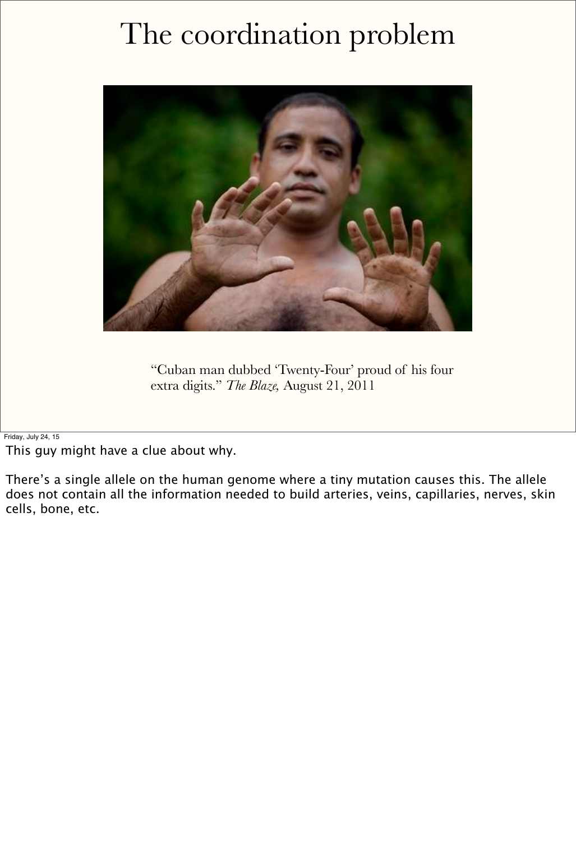

"Cuban man dubbed 'Twenty-Four' proud of his four extra digits." *The Blaze,* August 21, 2011

Friday, July 24, 15

This guy might have a clue about why.

There's a single allele on the human genome where a tiny mutation causes this. The allele does not contain all the information needed to build arteries, veins, capillaries, nerves, skin cells, bone, etc.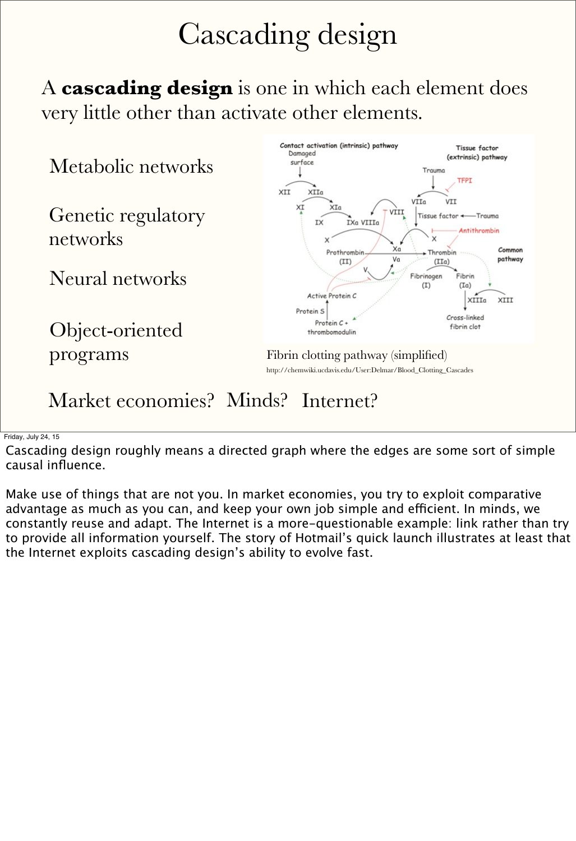## Cascading design

A **cascading design** is one in which each element does very little other than activate other elements.

Metabolic networks

Genetic regulatory networks

Object-oriented programs



#### Market economies? Minds? Internet?

Neural networks

Fibrin clotting pathway (simplified) http://chemwiki.ucdavis.edu/User:Delmar/Blood\_Clotting\_Cascades

Friday, July 24, 15

Cascading design roughly means a directed graph where the edges are some sort of simple causal influence.

Make use of things that are not you. In market economies, you try to exploit comparative advantage as much as you can, and keep your own job simple and efficient. In minds, we constantly reuse and adapt. The Internet is a more-questionable example: link rather than try to provide all information yourself. The story of Hotmail's quick launch illustrates at least that the Internet exploits cascading design's ability to evolve fast.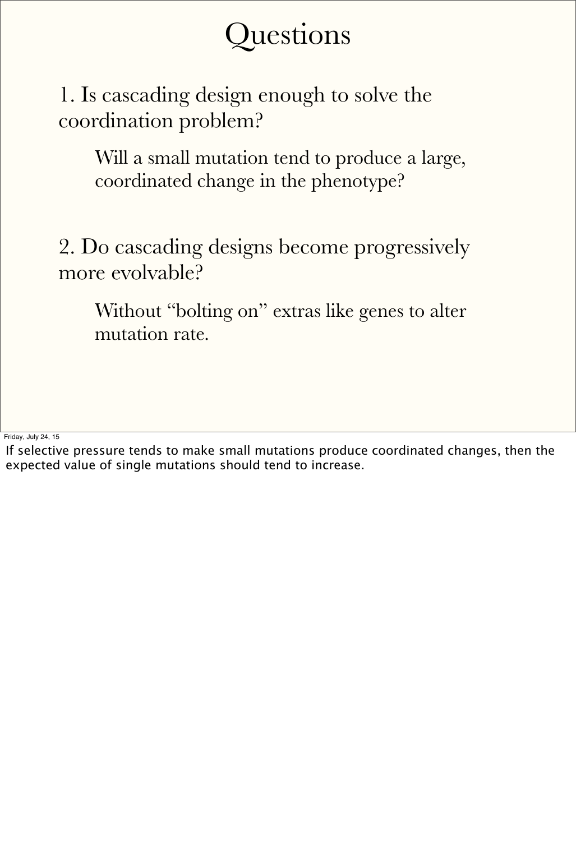#### Questions

1. Is cascading design enough to solve the coordination problem?

Without "bolting on" extras like genes to alter mutation rate.

2. Do cascading designs become progressively more evolvable?

Will a small mutation tend to produce a large, coordinated change in the phenotype?

Friday, July 24, 15

If selective pressure tends to make small mutations produce coordinated changes, then the expected value of single mutations should tend to increase.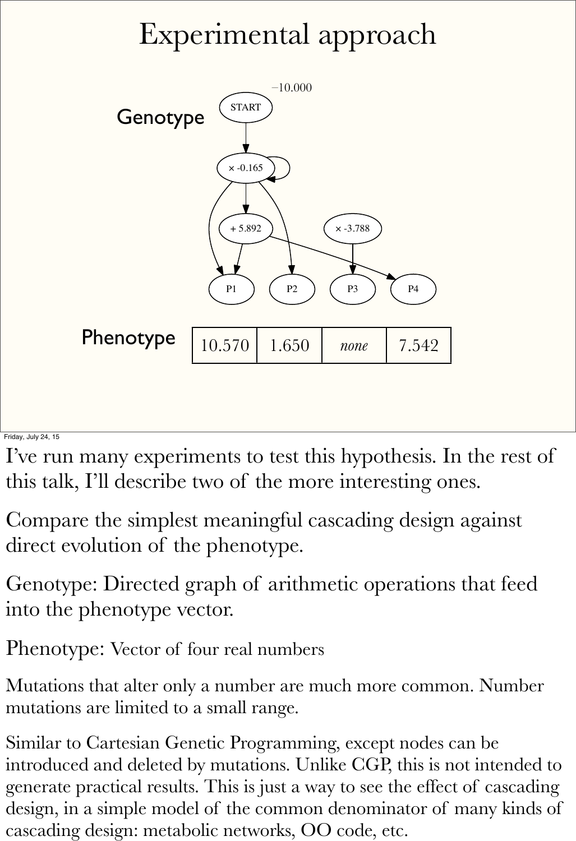## Experimental approach



Friday, July 24, 15

I've run many experiments to test this hypothesis. In the rest of this talk, I'll describe two of the more interesting ones.

Compare the simplest meaningful cascading design against direct evolution of the phenotype.

Genotype: Directed graph of arithmetic operations that feed into the phenotype vector.

Phenotype: Vector of four real numbers

Mutations that alter only a number are much more common. Number mutations are limited to a small range.

Similar to Cartesian Genetic Programming, except nodes can be introduced and deleted by mutations. Unlike CGP, this is not intended to generate practical results. This is just a way to see the effect of cascading design, in a simple model of the common denominator of many kinds of cascading design: metabolic networks, OO code, etc.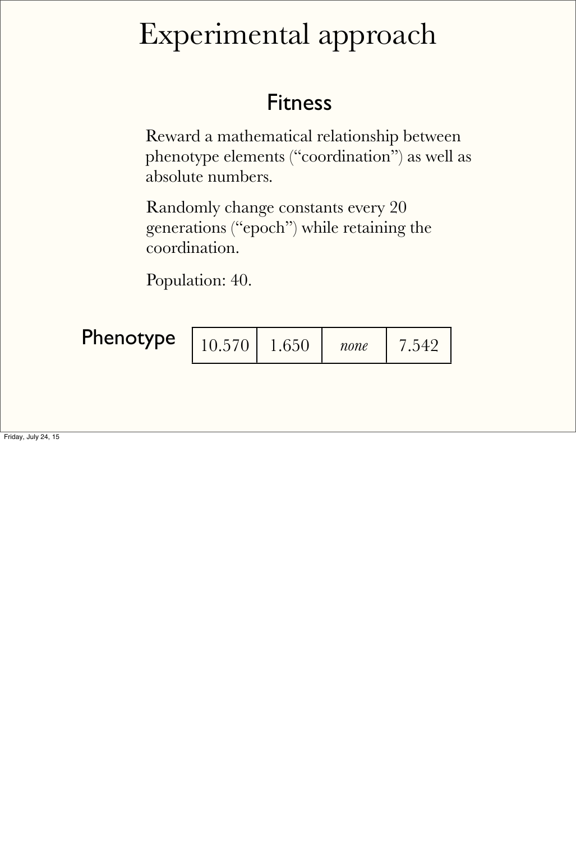#### Experimental approach

#### Fitness

Reward a mathematical relationship between phenotype elements ("coordination") as well as absolute numbers.

Randomly change constants every 20 generations ("epoch") while retaining the coordination.

| Phenotype | $10.570$ | 1.650 | none |  |
|-----------|----------|-------|------|--|
|-----------|----------|-------|------|--|

Population: 40.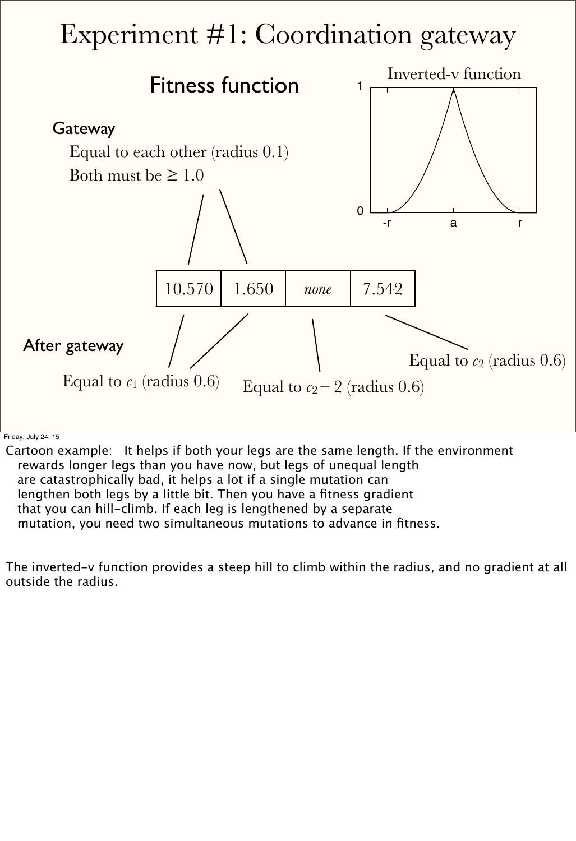#### Experiment #1: Coordination gateway Fitness function 10.570 1.650 *none* 7.542 Equal to each other (radius 0.1) Both must be  $\geq 1.0$  $\overline{0}$ --r a r Inverted-v function Equal to  $c_2$  (radius  $0.6$ ) **Gateway** After gateway

Equal to  $c_1$  (radius 0.6) Equal to  $c_2 - 2$  (radius 0.6)

Friday, July 24, 15

Cartoon example: It helps if both your legs are the same length. If the environment rewards longer legs than you have now, but legs of unequal length are catastrophically bad, it helps a lot if a single mutation can lengthen both legs by a little bit. Then you have a fitness gradient that you can hill-climb. If each leg is lengthened by a separate mutation, you need two simultaneous mutations to advance in fitness.

The inverted-v function provides a steep hill to climb within the radius, and no gradient at all outside the radius.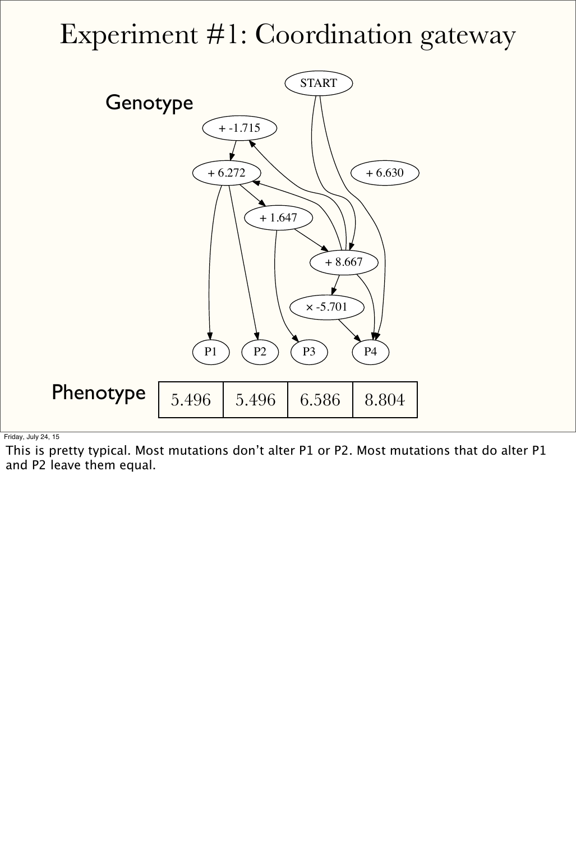#### Experiment #1: Coordination gateway



Friday, July 24, 15

This is pretty typical. Most mutations don't alter P1 or P2. Most mutations that do alter P1 and P2 leave them equal.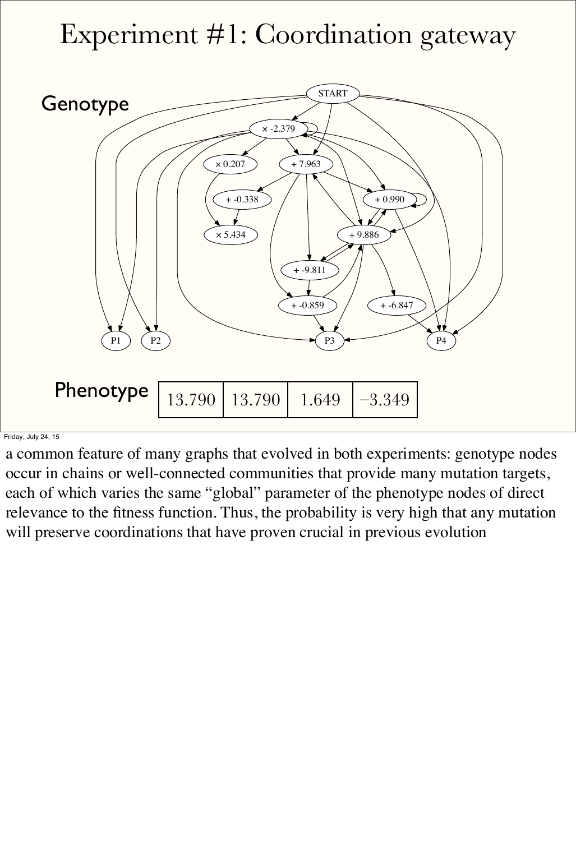#### Experiment #1: Coordination gateway

![](_page_11_Figure_1.jpeg)

Friday, July 24, 15

a common feature of many graphs that evolved in both experiments: genotype nodes occur in chains or well-connected communities that provide many mutation targets, each of which varies the same "global" parameter of the phenotype nodes of direct

relevance to the fitness function. Thus, the probability is very high that any mutation will preserve coordinations that have proven crucial in previous evolution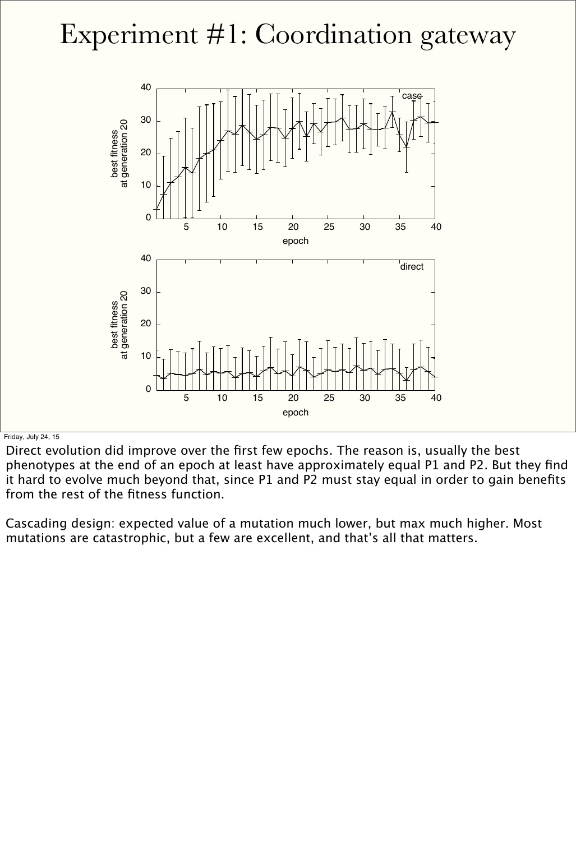#### Experiment #1: Coordination gateway

![](_page_12_Figure_1.jpeg)

Friday, July 24, 15

Direct evolution did improve over the first few epochs. The reason is, usually the best phenotypes at the end of an epoch at least have approximately equal P1 and P2. But they find it hard to evolve much beyond that, since P1 and P2 must stay equal in order to gain benefits from the rest of the fitness function.

Cascading design: expected value of a mutation much lower, but max much higher. Most mutations are catastrophic, but a few are excellent, and that's all that matters.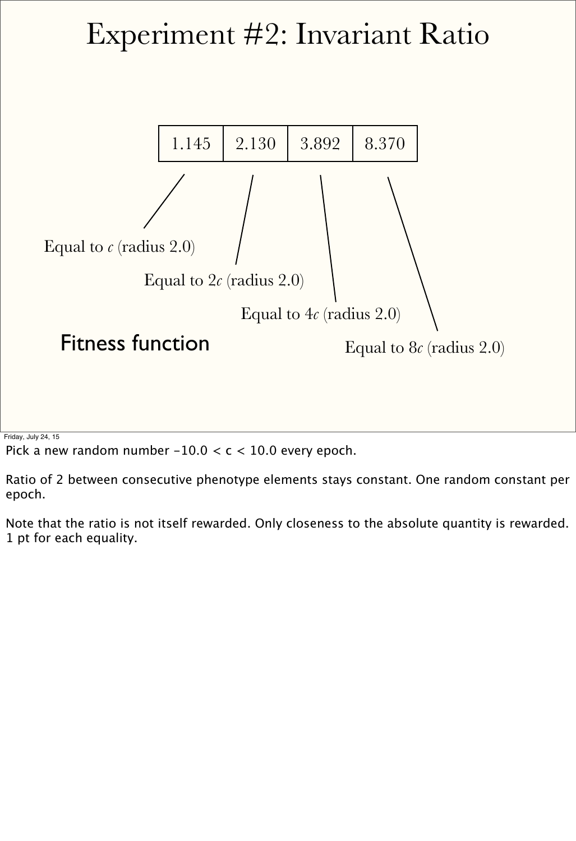#### Experiment #2: Invariant Ratio

![](_page_13_Figure_1.jpeg)

Friday, July 24, 15

Pick a new random number  $-10.0 < c < 10.0$  every epoch.

Ratio of 2 between consecutive phenotype elements stays constant. One random constant per epoch.

Note that the ratio is not itself rewarded. Only closeness to the absolute quantity is rewarded. 1 pt for each equality.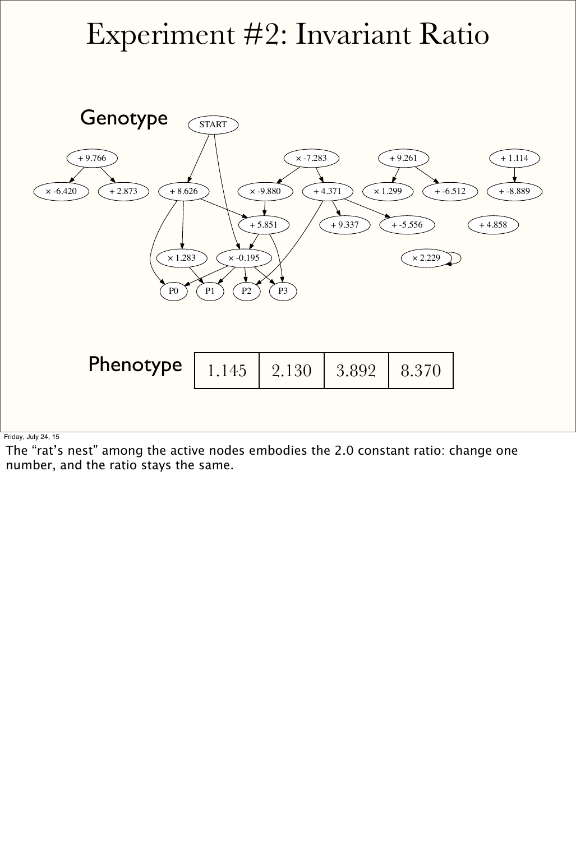#### Experiment #2: Invariant Ratio

![](_page_14_Figure_1.jpeg)

| Phenotype   1.145   2.130   3.892   8.370 |  |  |  |  |  |
|-------------------------------------------|--|--|--|--|--|
|-------------------------------------------|--|--|--|--|--|

Friday, July 24, 15

The "rat's nest" among the active nodes embodies the 2.0 constant ratio: change one number, and the ratio stays the same.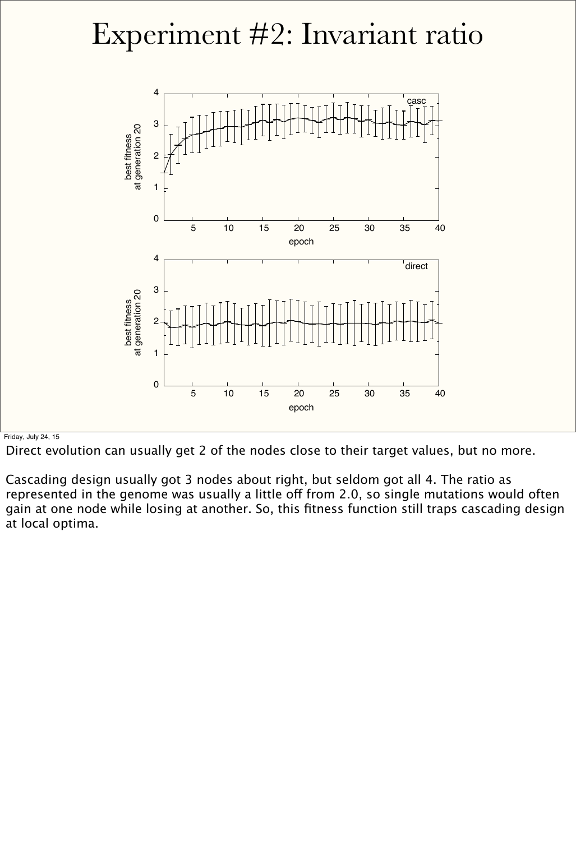#### Experiment #2: Invariant ratio

![](_page_15_Figure_1.jpeg)

#### Friday, July 24, 15

Direct evolution can usually get 2 of the nodes close to their target values, but no more.

Cascading design usually got 3 nodes about right, but seldom got all 4. The ratio as represented in the genome was usually a little off from 2.0, so single mutations would often gain at one node while losing at another. So, this fitness function still traps cascading design at local optima.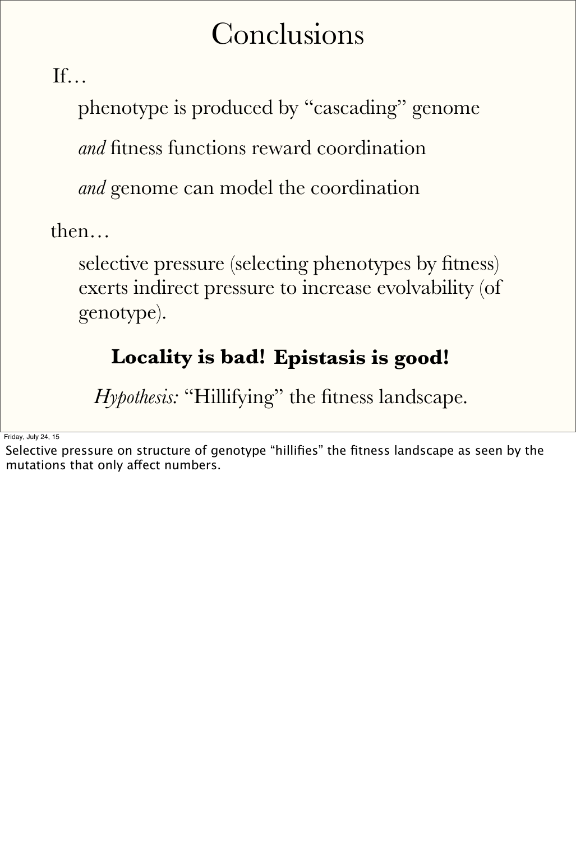#### Conclusions

If…

phenotype is produced by "cascading" genome

*and* fitness functions reward coordination

then…

selective pressure (selecting phenotypes by fitness) exerts indirect pressure to increase evolvability (of genotype).

*and* genome can model the coordination

#### **Locality is bad! Epistasis is good!**

*Hypothesis:* "Hillifying" the fitness landscape.

Friday, July 24, 15

Selective pressure on structure of genotype "hillifies" the fitness landscape as seen by the mutations that only afect numbers.